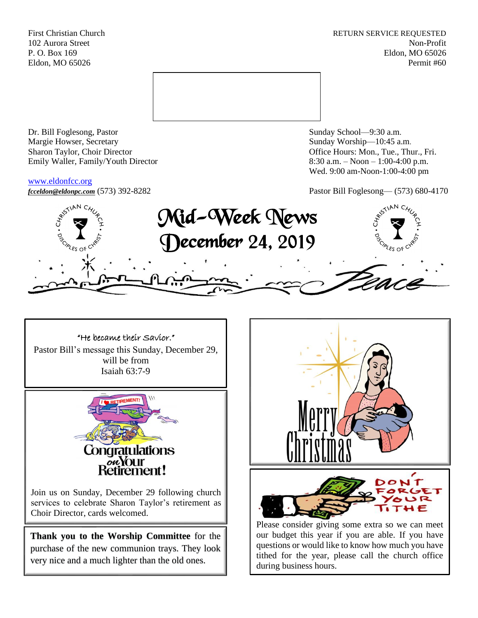First Christian Church **RETURN SERVICE REQUESTED** 102 Aurora Street Non-Profit P. O. Box 169 Eldon, MO 65026 Eldon, MO 65026 Permit #60



Dr. Bill Foglesong, Pastor Sunday School—9:30 a.m. Margie Howser, Secretary Sunday Worship—10:45 a.m. Sharon Taylor, Choir Director **Channel Controllering Controllering Controllering Controllering Controllering Controllering Controllering Controllering Controllering Controllering Controllering Controllering Controllering C** Emily Waller, Family/Youth Director 8:30 a.m. – Noon – 1:00-4:00 p.m.

#### [www.eldonfcc.org](http://www.eldonfcc.org/)

Wed. 9:00 am-Noon-1:00-4:00 pm

*[fcceldon@eldonpc.com](mailto:fcceldon@eldonpc.com)* (573) 392-8282 Pastor Bill Foglesong— (573) 680-4170



## "He became their Savior."

Pastor Bill's message this Sunday, December 29, will be from Isaiah 63:7-9



Join us on Sunday, December 29 following church services to celebrate Sharon Taylor's retirement as Choir Director, cards welcomed.

**Thank you to the Worship Committee** for the purchase of the new communion trays. They look very nice and a much lighter than the old ones.



questions or would like to know how much you have tithed for the year, please call the church office during business hours.